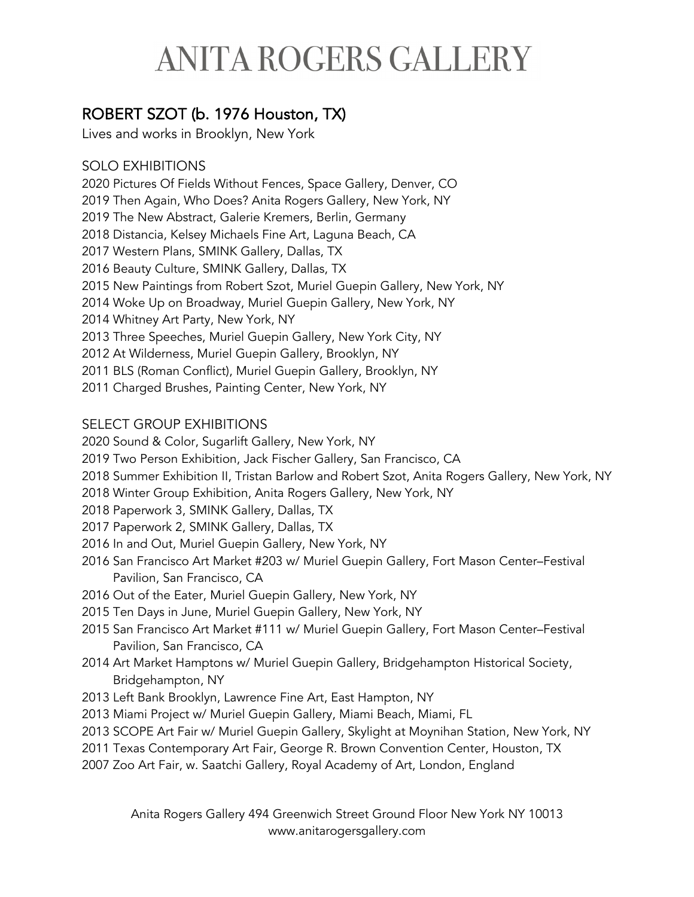# **ANITA ROGERS GALLERY**

### ROBERT SZOT (b. 1976 Houston, TX)

Lives and works in Brooklyn, New York

#### SOLO EXHIBITIONS

2020 Pictures Of Fields Without Fences, Space Gallery, Denver, CO 2019 Then Again, Who Does? Anita Rogers Gallery, New York, NY 2019 The New Abstract, Galerie Kremers, Berlin, Germany 2018 Distancia, Kelsey Michaels Fine Art, Laguna Beach, CA 2017 Western Plans, SMINK Gallery, Dallas, TX 2016 Beauty Culture, SMINK Gallery, Dallas, TX 2015 New Paintings from Robert Szot, Muriel Guepin Gallery, New York, NY 2014 Woke Up on Broadway, Muriel Guepin Gallery, New York, NY 2014 Whitney Art Party, New York, NY 2013 Three Speeches, Muriel Guepin Gallery, New York City, NY 2012 At Wilderness, Muriel Guepin Gallery, Brooklyn, NY 2011 BLS (Roman Conflict), Muriel Guepin Gallery, Brooklyn, NY 2011 Charged Brushes, Painting Center, New York, NY

### SELECT GROUP EXHIBITIONS

- 2020 Sound & Color, Sugarlift Gallery, New York, NY
- 2019 Two Person Exhibition, Jack Fischer Gallery, San Francisco, CA
- 2018 Summer Exhibition II, Tristan Barlow and Robert Szot, Anita Rogers Gallery, New York, NY
- 2018 Winter Group Exhibition, Anita Rogers Gallery, New York, NY
- 2018 Paperwork 3, SMINK Gallery, Dallas, TX
- 2017 Paperwork 2, SMINK Gallery, Dallas, TX
- 2016 In and Out, Muriel Guepin Gallery, New York, NY
- 2016 San Francisco Art Market #203 w/ Muriel Guepin Gallery, Fort Mason Center–Festival Pavilion, San Francisco, CA
- 2016 Out of the Eater, Muriel Guepin Gallery, New York, NY
- 2015 Ten Days in June, Muriel Guepin Gallery, New York, NY
- 2015 San Francisco Art Market #111 w/ Muriel Guepin Gallery, Fort Mason Center–Festival Pavilion, San Francisco, CA
- 2014 Art Market Hamptons w/ Muriel Guepin Gallery, Bridgehampton Historical Society, Bridgehampton, NY
- 2013 Left Bank Brooklyn, Lawrence Fine Art, East Hampton, NY
- 2013 Miami Project w/ Muriel Guepin Gallery, Miami Beach, Miami, FL
- 2013 SCOPE Art Fair w/ Muriel Guepin Gallery, Skylight at Moynihan Station, New York, NY
- 2011 Texas Contemporary Art Fair, George R. Brown Convention Center, Houston, TX
- 2007 Zoo Art Fair, w. Saatchi Gallery, Royal Academy of Art, London, England

Anita Rogers Gallery 494 Greenwich Street Ground Floor New York NY 10013 www.anitarogersgallery.com